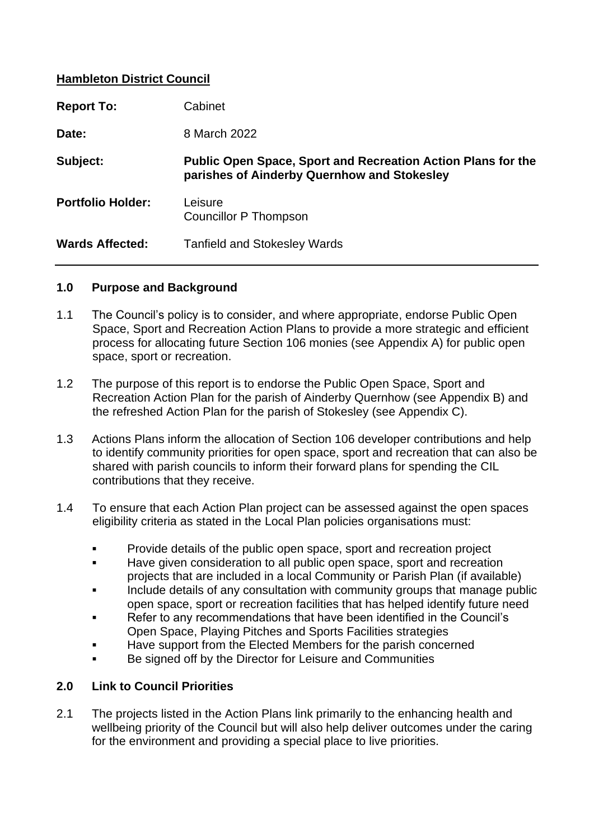### **Hambleton District Council**

| <b>Report To:</b>        | Cabinet                                                                                                            |
|--------------------------|--------------------------------------------------------------------------------------------------------------------|
| Date:                    | 8 March 2022                                                                                                       |
| Subject:                 | <b>Public Open Space, Sport and Recreation Action Plans for the</b><br>parishes of Ainderby Quernhow and Stokesley |
| <b>Portfolio Holder:</b> | Leisure<br>Councillor P Thompson                                                                                   |
| <b>Wards Affected:</b>   | <b>Tanfield and Stokesley Wards</b>                                                                                |

#### **1.0 Purpose and Background**

- 1.1 The Council's policy is to consider, and where appropriate, endorse Public Open Space, Sport and Recreation Action Plans to provide a more strategic and efficient process for allocating future Section 106 monies (see Appendix A) for public open space, sport or recreation.
- 1.2 The purpose of this report is to endorse the Public Open Space, Sport and Recreation Action Plan for the parish of Ainderby Quernhow (see Appendix B) and the refreshed Action Plan for the parish of Stokesley (see Appendix C).
- 1.3 Actions Plans inform the allocation of Section 106 developer contributions and help to identify community priorities for open space, sport and recreation that can also be shared with parish councils to inform their forward plans for spending the CIL contributions that they receive.
- 1.4 To ensure that each Action Plan project can be assessed against the open spaces eligibility criteria as stated in the Local Plan policies organisations must:
	- Provide details of the public open space, sport and recreation project
	- Have given consideration to all public open space, sport and recreation projects that are included in a local Community or Parish Plan (if available)
	- Include details of any consultation with community groups that manage public open space, sport or recreation facilities that has helped identify future need
	- Refer to any recommendations that have been identified in the Council's Open Space, Playing Pitches and Sports Facilities strategies
	- Have support from the Elected Members for the parish concerned
	- Be signed off by the Director for Leisure and Communities

#### **2.0 Link to Council Priorities**

2.1 The projects listed in the Action Plans link primarily to the enhancing health and wellbeing priority of the Council but will also help deliver outcomes under the caring for the environment and providing a special place to live priorities.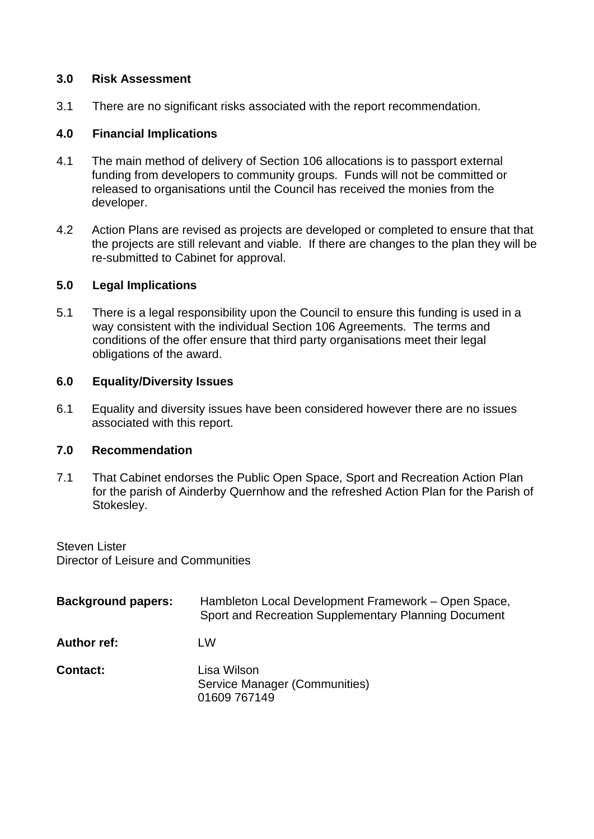### **3.0 Risk Assessment**

3.1 There are no significant risks associated with the report recommendation.

### **4.0 Financial Implications**

- 4.1 The main method of delivery of Section 106 allocations is to passport external funding from developers to community groups. Funds will not be committed or released to organisations until the Council has received the monies from the developer.
- 4.2 Action Plans are revised as projects are developed or completed to ensure that that the projects are still relevant and viable. If there are changes to the plan they will be re-submitted to Cabinet for approval.

#### **5.0 Legal Implications**

5.1 There is a legal responsibility upon the Council to ensure this funding is used in a way consistent with the individual Section 106 Agreements. The terms and conditions of the offer ensure that third party organisations meet their legal obligations of the award.

#### **6.0 Equality/Diversity Issues**

6.1 Equality and diversity issues have been considered however there are no issues associated with this report.

#### **7.0 Recommendation**

7.1 That Cabinet endorses the Public Open Space, Sport and Recreation Action Plan for the parish of Ainderby Quernhow and the refreshed Action Plan for the Parish of Stokesley.

Steven Lister Director of Leisure and Communities

| <b>Background papers:</b> | Hambleton Local Development Framework – Open Space,<br>Sport and Recreation Supplementary Planning Document |
|---------------------------|-------------------------------------------------------------------------------------------------------------|
| <b>Author ref:</b>        | LW                                                                                                          |
| <b>Contact:</b>           | Lisa Wilson<br>Service Manager (Communities)<br>01609 767149                                                |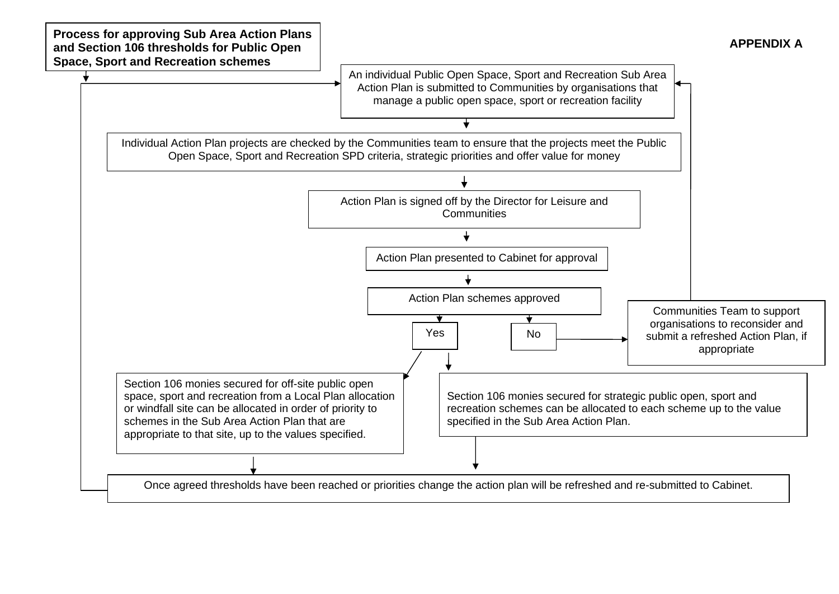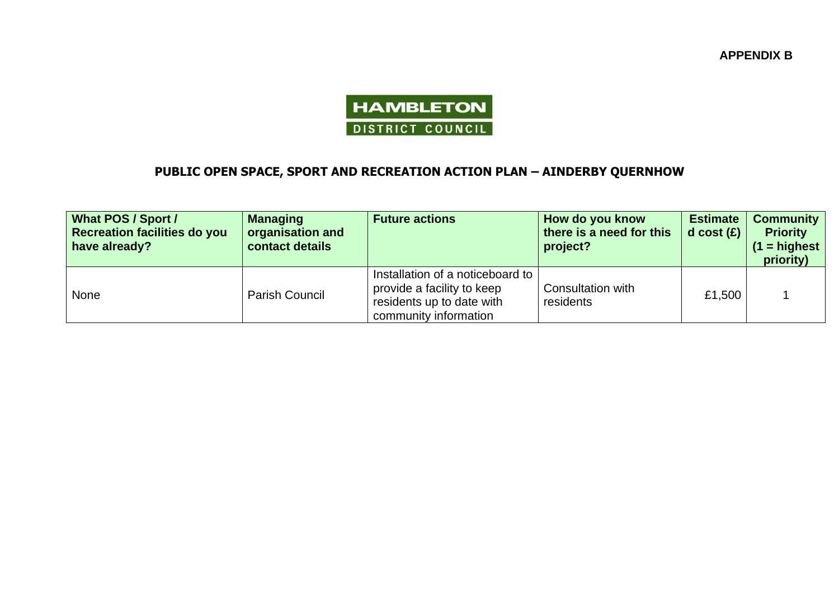**APPENDIX B**



# **PUBLIC OPEN SPACE, SPORT AND RECREATION ACTION PLAN – AINDERBY QUERNHOW**

| <b>What POS / Sport /</b><br><b>Recreation facilities do you</b><br>have already? | <b>Managing</b><br>organisation and<br>contact details | <b>Future actions</b>                                                                                                | How do you know<br>there is a need for this<br>project? | <b>Estimate</b><br>d cost $(E)$ | <b>Community</b><br><b>Priority</b><br>$(1 =$ highest<br>priority) |
|-----------------------------------------------------------------------------------|--------------------------------------------------------|----------------------------------------------------------------------------------------------------------------------|---------------------------------------------------------|---------------------------------|--------------------------------------------------------------------|
| <b>None</b>                                                                       | <b>Parish Council</b>                                  | Installation of a noticeboard to<br>provide a facility to keep<br>residents up to date with<br>community information | Consultation with<br>residents                          | £1,500                          |                                                                    |